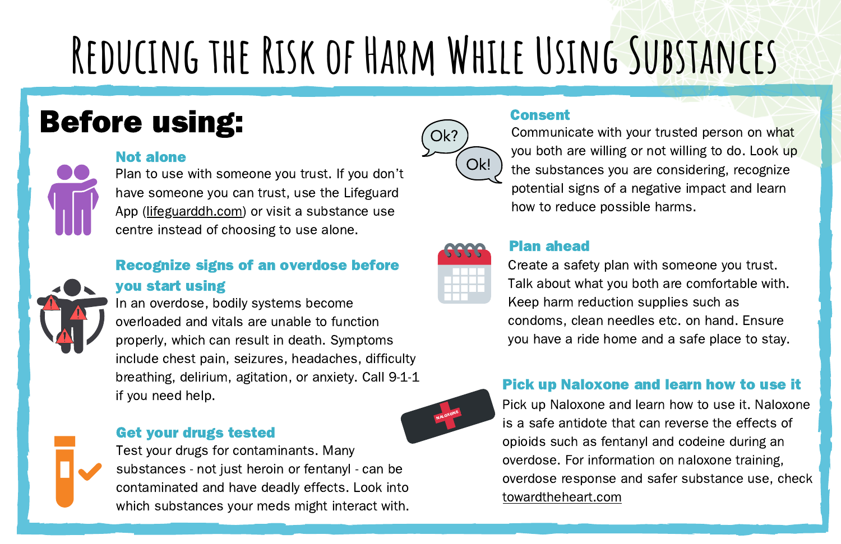## **Reducing the Risk of Harm While Using Substances**

## Before using:

## Not alone



Plan to use with someone you trust. If you don't have someone you can trust, use the Lifeguard App ([lifeguarddh.com\)](https://lifeguarddh.com/) or visit a substance use centre instead of choosing to use alone.

## Recognize signs of an overdose before

## you start using

In an overdose, bodily systems become overloaded and vitals are unable to function properly, which can result in death. Symptoms include chest pain, seizures, headaches, difficulty breathing, delirium, agitation, or anxiety. Call 9-1-1 if you need help.

## Get your drugs tested



## Consent



Communicate with your trusted person on what you both are willing or not willing to do. Look up the substances you are considering, recognize potential signs of a negative impact and learn how to reduce possible harms.



NALOXONE

#### Plan ahead

Create a safety plan with someone you trust. Talk about what you both are comfortable with. Keep harm reduction supplies such as condoms, clean needles etc. on hand. Ensure you have a ride home and a safe place to stay.

## Pick up Naloxone and learn how to use it

Pick up Naloxone and learn how to use it. Naloxone is a safe antidote that can reverse the effects of opioids such as fentanyl and codeine during an overdose. For information on naloxone training, overdose response and safer substance use, check [towardtheheart.com](http://towardtheheart.com/)